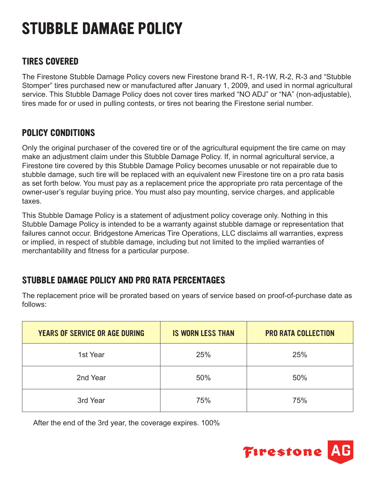# **STUBBLE DAMAGE POLICY**

### **TIRES COVERED**

The Firestone Stubble Damage Policy covers new Firestone brand R-1, R-1W, R-2, R-3 and "Stubble Stomper" tires purchased new or manufactured after January 1, 2009, and used in normal agricultural service. This Stubble Damage Policy does not cover tires marked "NO ADJ" or "NA" (non-adjustable), tires made for or used in pulling contests, or tires not bearing the Firestone serial number.

## **POLICY CONDITIONS**

Only the original purchaser of the covered tire or of the agricultural equipment the tire came on may make an adjustment claim under this Stubble Damage Policy. If, in normal agricultural service, a Firestone tire covered by this Stubble Damage Policy becomes unusable or not repairable due to stubble damage, such tire will be replaced with an equivalent new Firestone tire on a pro rata basis as set forth below. You must pay as a replacement price the appropriate pro rata percentage of the owner-user's regular buying price. You must also pay mounting, service charges, and applicable taxes.

This Stubble Damage Policy is a statement of adjustment policy coverage only. Nothing in this Stubble Damage Policy is intended to be a warranty against stubble damage or representation that failures cannot occur. Bridgestone Americas Tire Operations, LLC disclaims all warranties, express or implied, in respect of stubble damage, including but not limited to the implied warranties of merchantability and fitness for a particular purpose.

# **STUBBLE DAMAGE POLICY AND PRO RATA PERCENTAGES**

The replacement price will be prorated based on years of service based on proof-of-purchase date as follows:

| <b>YEARS OF SERVICE OR AGE DURING</b> | <b>IS WORN LESS THAN</b> | <b>PRO RATA COLLECTION</b> |
|---------------------------------------|--------------------------|----------------------------|
| 1st Year                              | 25%                      | 25%                        |
| 2nd Year                              | 50%                      | 50%                        |
| 3rd Year                              | 75%                      | 75%                        |

After the end of the 3rd year, the coverage expires. 100%